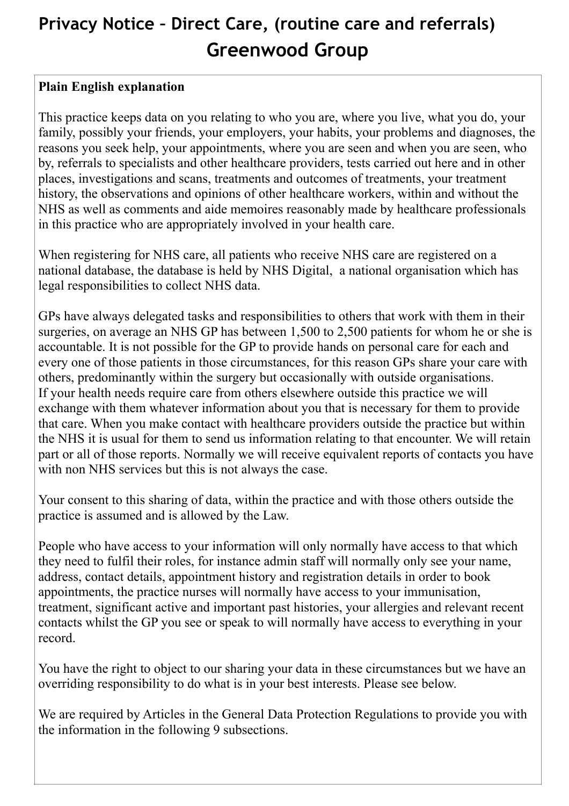## **Privacy Notice – Direct Care, (routine care and referrals) Greenwood Group**

## **Plain English explanation**

This practice keeps data on you relating to who you are, where you live, what you do, your family, possibly your friends, your employers, your habits, your problems and diagnoses, the reasons you seek help, your appointments, where you are seen and when you are seen, who by, referrals to specialists and other healthcare providers, tests carried out here and in other places, investigations and scans, treatments and outcomes of treatments, your treatment history, the observations and opinions of other healthcare workers, within and without the NHS as well as comments and aide memoires reasonably made by healthcare professionals in this practice who are appropriately involved in your health care.

When registering for NHS care, all patients who receive NHS care are registered on a national database, the database is held by NHS Digital, a national organisation which has legal responsibilities to collect NHS data.

GPs have always delegated tasks and responsibilities to others that work with them in their surgeries, on average an NHS GP has between 1,500 to 2,500 patients for whom he or she is accountable. It is not possible for the GP to provide hands on personal care for each and every one of those patients in those circumstances, for this reason GPs share your care with others, predominantly within the surgery but occasionally with outside organisations. If your health needs require care from others elsewhere outside this practice we will exchange with them whatever information about you that is necessary for them to provide that care. When you make contact with healthcare providers outside the practice but within the NHS it is usual for them to send us information relating to that encounter. We will retain part or all of those reports. Normally we will receive equivalent reports of contacts you have with non NHS services but this is not always the case.

Your consent to this sharing of data, within the practice and with those others outside the practice is assumed and is allowed by the Law.

People who have access to your information will only normally have access to that which they need to fulfil their roles, for instance admin staff will normally only see your name, address, contact details, appointment history and registration details in order to book appointments, the practice nurses will normally have access to your immunisation, treatment, significant active and important past histories, your allergies and relevant recent contacts whilst the GP you see or speak to will normally have access to everything in your record.

You have the right to object to our sharing your data in these circumstances but we have an overriding responsibility to do what is in your best interests. Please see below.

We are required by Articles in the General Data Protection Regulations to provide you with the information in the following 9 subsections.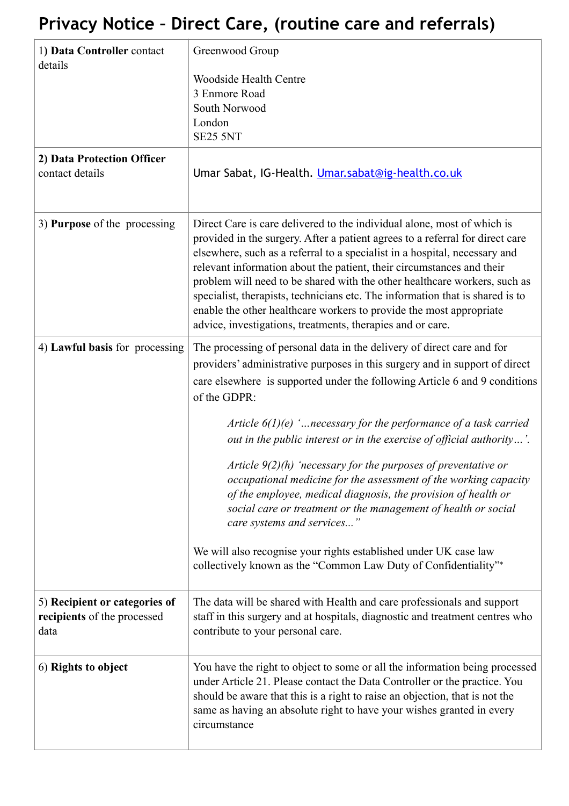## **Privacy Notice – Direct Care, (routine care and referrals)**

| 1) Data Controller contact<br>details                                | Greenwood Group                                                                                                                                                                                                                                                                                                                                                                                                                                                                                                                                                                                                                                                                                               |
|----------------------------------------------------------------------|---------------------------------------------------------------------------------------------------------------------------------------------------------------------------------------------------------------------------------------------------------------------------------------------------------------------------------------------------------------------------------------------------------------------------------------------------------------------------------------------------------------------------------------------------------------------------------------------------------------------------------------------------------------------------------------------------------------|
|                                                                      | <b>Woodside Health Centre</b><br>3 Enmore Road<br>South Norwood<br>London<br><b>SE25 5NT</b>                                                                                                                                                                                                                                                                                                                                                                                                                                                                                                                                                                                                                  |
| 2) Data Protection Officer<br>contact details                        | Umar Sabat, IG-Health. Umar.sabat@ig-health.co.uk                                                                                                                                                                                                                                                                                                                                                                                                                                                                                                                                                                                                                                                             |
| 3) Purpose of the processing                                         | Direct Care is care delivered to the individual alone, most of which is<br>provided in the surgery. After a patient agrees to a referral for direct care<br>elsewhere, such as a referral to a specialist in a hospital, necessary and<br>relevant information about the patient, their circumstances and their<br>problem will need to be shared with the other healthcare workers, such as<br>specialist, therapists, technicians etc. The information that is shared is to<br>enable the other healthcare workers to provide the most appropriate<br>advice, investigations, treatments, therapies and or care.                                                                                            |
| 4) Lawful basis for processing                                       | The processing of personal data in the delivery of direct care and for<br>providers' administrative purposes in this surgery and in support of direct<br>care elsewhere is supported under the following Article 6 and 9 conditions<br>of the GDPR:<br>Article $6(1)(e)$ ' necessary for the performance of a task carried<br>out in the public interest or in the exercise of official authority'.<br>Article $9(2)(h)$ 'necessary for the purposes of preventative or<br>occupational medicine for the assessment of the working capacity<br>of the employee, medical diagnosis, the provision of health or<br>social care or treatment or the management of health or social<br>care systems and services" |
|                                                                      | We will also recognise your rights established under UK case law<br>collectively known as the "Common Law Duty of Confidentiality"*                                                                                                                                                                                                                                                                                                                                                                                                                                                                                                                                                                           |
| 5) Recipient or categories of<br>recipients of the processed<br>data | The data will be shared with Health and care professionals and support<br>staff in this surgery and at hospitals, diagnostic and treatment centres who<br>contribute to your personal care.                                                                                                                                                                                                                                                                                                                                                                                                                                                                                                                   |
| 6) Rights to object                                                  | You have the right to object to some or all the information being processed<br>under Article 21. Please contact the Data Controller or the practice. You<br>should be aware that this is a right to raise an objection, that is not the<br>same as having an absolute right to have your wishes granted in every<br>circumstance                                                                                                                                                                                                                                                                                                                                                                              |